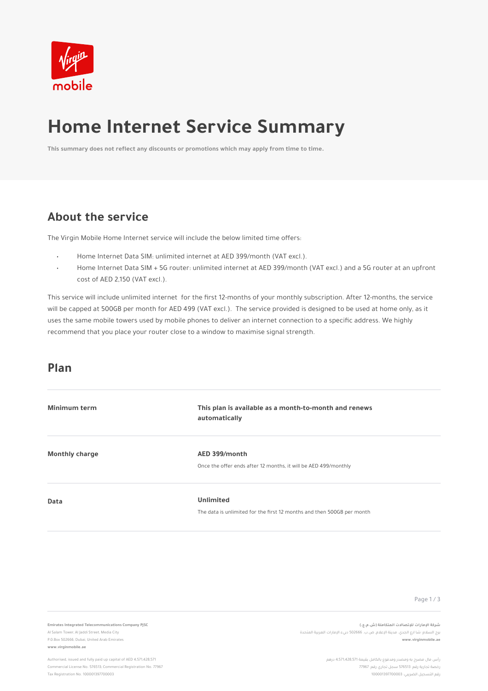#### **Plan**

| <b>Minimum term</b>   | This plan is available as a month-to-month and renews<br>automatically                     |
|-----------------------|--------------------------------------------------------------------------------------------|
| <b>Monthly charge</b> | AED 399/month<br>Once the offer ends after 12 months, it will be AED 499/monthly           |
| <b>Data</b>           | <b>Unlimited</b><br>The data is unlimited for the first 12 months and then 500GB per month |
|                       |                                                                                            |

Page 1/3



# **Home Internet Service Summary**

#### **About the service**

**This summary does not reflect any discounts or promotions which may apply from time to time.** 

#### **Emirates Integrated Telecommunications Company PJSC**

Al Salam Tower, Al Jaddi Street, Media City P.0.Box 502666, Dubai, United Arab Emirates **www.virginmobile.ae**

**ةـكرـش تاراـملإا تلااصـتلإـل ةلـماكتمـلا ( ش.م.ع ).** برج السلام؛ شا ارع الجدي. مدينة الإعلام, ص.ب. 502666 دبيء الإمارات العربية المتحدة **www.virginmobile.ae**

> ـرأس مال مصرح به ومصدر ومدفوع بالكامل بقيمة 4,571,428,571 درهم رخصة تجارية رقم: 576513 سـجل تجاري رقم: 77967 رقم التسجيل الضريبي: 100001397700003

Authorised, issued and fully paid up capital of AED 4,571,428,571 Commercial License No. 576513; Commercial Registration No. 77967 Tax Registration No. 100001397700003

The Virgin Mobile Home Internet service will include the below limited time offers:

This service will include unlimited internet for the first 12-months of your monthly subscription. After 12-months, the service will be capped at 500GB per month for AED 499 (VAT excl.). The service provided is designed to be used at home only, as it uses the same mobile towers used by mobile phones to deliver an internet connection to a specific address. We highly recommend that you place your router close to a window to maximise signal strength.

- Home Internet Data SIM: unlimited internet at AED 399/month (VAT excl.).
- Home Internet Data SIM + 5G router: unlimited internet at AED 399/month (VAT excl.) and a 5G router at an upfront cost of AED 2,150 (VAT excl.).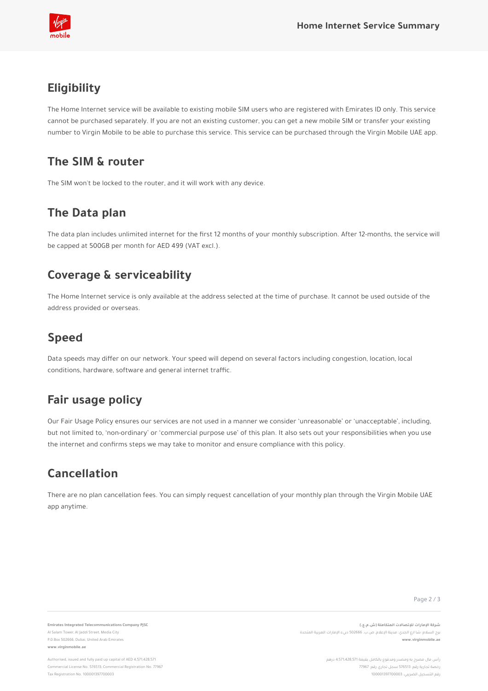#### **The SIM & router**

#### **The Data plan**

### **Coverage & serviceability**

Page 2 / 3

**Emirates Integrated Telecommunications Company PJSC**

Al Salam Tower, Al Jaddi Street, Media City P.0.Box 502666, Dubai, United Arab Emirates **www.virginmobile.ae**

**ةـكرـش تاراـملإا تلااصـتلإـل ةلـماكتمـلا ( ش.م.ع ).** برج السلام؛ شا ارع الجدي. مدينة الإعلام, ص.ب. 502666 دبيء الإمارات العربية المتحدة **www.virginmobile.ae**

> رأس مال مصرح به ومصدر ومدفوع بالكامل بقيمة 4,571,428,571 درهم رخصة تجارية رقم: 576513 سجل تجاري رقم: 77967 رقم التسجيل الضريبي: 100001397700003

Authorised, issued and fully paid up capital of AED 4,571,428,571 Commercial License No. 576513; Commercial Registration No. 77967 Tax Registration No. 100001397700003

The SIM won't be locked to the router, and it will work with any device.

The data plan includes unlimited internet for the first 12 months of your monthly subscription. After 12-months, the service will be capped at 500GB per month for AED 499 (VAT excl.).

The Home Internet service is only available at the address selected at the time of purchase. It cannot be used outside of the address provided or overseas.

#### **Speed**

Data speeds may differ on our network. Your speed will depend on several factors including congestion, location, local conditions, hardware, software and general internet traffic.



#### **Fair usage policy**

Our Fair Usage Policy ensures our services are not used in a manner we consider 'unreasonable' or 'unacceptable', including, but not limited to, 'non-ordinary' or 'commercial purpose use' of this plan. It also sets out your responsibilities when you use the internet and confirms steps we may take to monitor and ensure compliance with this policy.

## **Eligibility**

The Home Internet service will be available to existing mobile SIM users who are registered with Emirates ID only. This service cannot be purchased separately. If you are not an existing customer, you can get a new mobile SIM or transfer your existing number to Virgin Mobile to be able to purchase this service. This service can be purchased through the Virgin Mobile UAE app.

#### **Cancellation**

There are no plan cancellation fees. You can simply request cancellation of your monthly plan through the Virgin Mobile UAE app anytime.